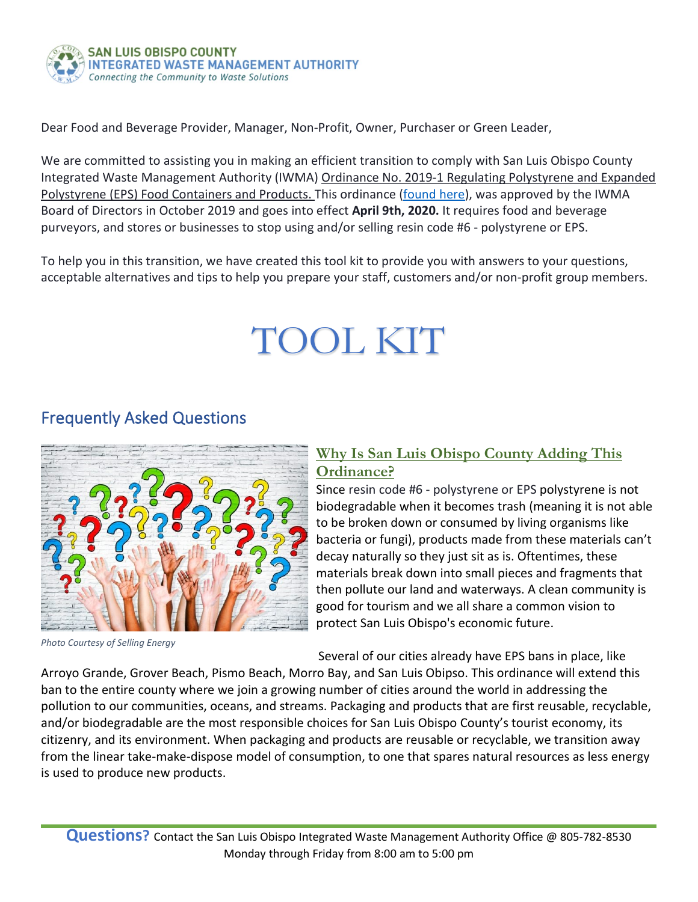

Dear Food and Beverage Provider, Manager, Non-Profit, Owner, Purchaser or Green Leader,

We are committed to assisting you in making an efficient transition to comply with San Luis Obispo County Integrated Waste Management Authority (IWMA) [Ordinance No. 2019-1 Regulating Polystyrene and Expanded](https://iwma.com/wp-content/uploads/recyclist/userfiles/Ordinances/Ordinance%20No.%202019-1%20Regulating%20Polystyrene%20and%20Expanded%20Polystyrene%20(EPS)%20Food%20Containers%20and%20Products.pdf)  [Polystyrene \(EPS\) Food Containers and Products.](https://iwma.com/wp-content/uploads/recyclist/userfiles/Ordinances/Ordinance%20No.%202019-1%20Regulating%20Polystyrene%20and%20Expanded%20Polystyrene%20(EPS)%20Food%20Containers%20and%20Products.pdf) This ordinance [\(found here\)](https://iwma.com/wp-content/uploads/recyclist/userfiles/Ordinances/Ordinance%20No.%202019-1%20Regulating%20Polystyrene%20and%20Expanded%20Polystyrene%20(EPS)%20Food%20Containers%20and%20Products.pdf), was approved by the IWMA Board of Directors in October 2019 and goes into effect **April 9th, 2020.** It requires food and beverage purveyors, and stores or businesses to stop using and/or selling resin code #6 - polystyrene or EPS.

To help you in this transition, we have created this tool kit to provide you with answers to your questions, acceptable alternatives and tips to help you prepare your staff, customers and/or non-profit group members.

# TOOL KIT

## Frequently Asked Questions



*Photo Courtesy of Selling Energy*

#### **Why Is San Luis Obispo County Adding This Ordinance?**

Since resin code #6 - polystyrene or EPS polystyrene is not biodegradable when it becomes trash (meaning it is not able to be broken down or consumed by living organisms like bacteria or fungi), products made from these materials can't decay naturally so they just sit as is. Oftentimes, these materials break down into small pieces and fragments that then pollute our land and waterways. A clean community is good for tourism and we all share a common vision to protect San Luis Obispo's economic future.

Several of our cities already have EPS bans in place, like

Arroyo Grande, Grover Beach, Pismo Beach, Morro Bay, and San Luis Obipso. This ordinance will extend this ban to the entire county where we join a growing number of cities around the world in addressing the pollution to our communities, oceans, and streams. Packaging and products that are first reusable, recyclable, and/or biodegradable are the most responsible choices for San Luis Obispo County's tourist economy, its citizenry, and its environment. When packaging and products are reusable or recyclable, we transition away from the linear take-make-dispose model of consumption, to one that spares natural resources as less energy is used to produce new products.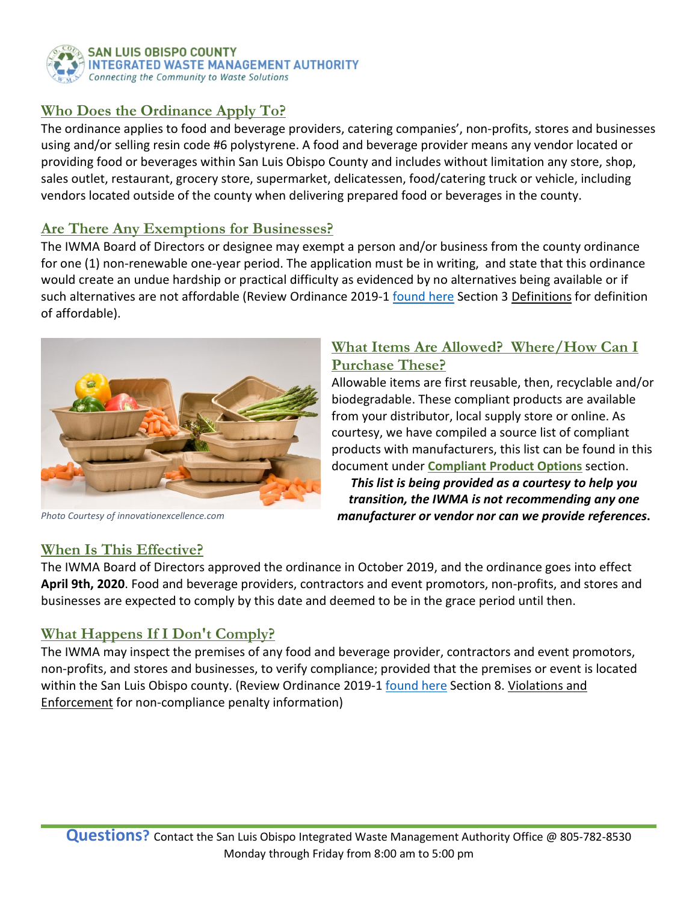

### **Who Does the Ordinance Apply To?**

The ordinance applies to food and beverage providers, catering companies', non-profits, stores and businesses using and/or selling resin code #6 polystyrene. A food and beverage provider means any vendor located or providing food or beverages within San Luis Obispo County and includes without limitation any store, shop, sales outlet, restaurant, grocery store, supermarket, delicatessen, food/catering truck or vehicle, including vendors located outside of the county when delivering prepared food or beverages in the county.

#### **Are There Any Exemptions for Businesses?**

The IWMA Board of Directors or designee may exempt a person and/or business from the county ordinance for one (1) non-renewable one-year period. The application must be in writing, and state that this ordinance would create an undue hardship or practical difficulty as evidenced by no alternatives being available or if such alternatives are not affordable (Review Ordinance 2019-1 [found here](https://iwma.com/wp-content/uploads/2020/01/PolyExemptionForm.pdf) Section 3 Definitions for definition of affordable).



*Photo Courtesy of innovationexcellence.com*

#### **What Items Are Allowed? Where/How Can I Purchase These?**

Allowable items are first reusable, then, recyclable and/or biodegradable. These compliant products are available from your distributor, local supply store or online. As courtesy, we have compiled a source list of compliant products with manufacturers, this list can be found in this document under **Compliant Product Options** section.

*This list is being provided as a courtesy to help you transition, the IWMA is not recommending any one manufacturer or vendor nor can we provide references***.**

### **When Is This Effective?**

The IWMA Board of Directors approved the ordinance in October 2019, and the ordinance goes into effect **April 9th, 2020**. Food and beverage providers, contractors and event promotors, non-profits, and stores and businesses are expected to comply by this date and deemed to be in the grace period until then.

### **What Happens If I Don't Comply?**

The IWMA may inspect the premises of any food and beverage provider, contractors and event promotors, non-profits, and stores and businesses, to verify compliance; provided that the premises or event is located within the San Luis Obispo county. (Review Ordinance 2019-1 [found here](https://www.iwma.com/wp-content/uploads/recyclist/userfiles/Ordinances/Ordinance%20No.%202019-1%20Regulating%20Polystyrene%20and%20Expanded%20Polystyrene%20(EPS)%20Food%20Containers%20and%20Products.pdf) Section 8. Violations and Enforcement for non-compliance penalty information)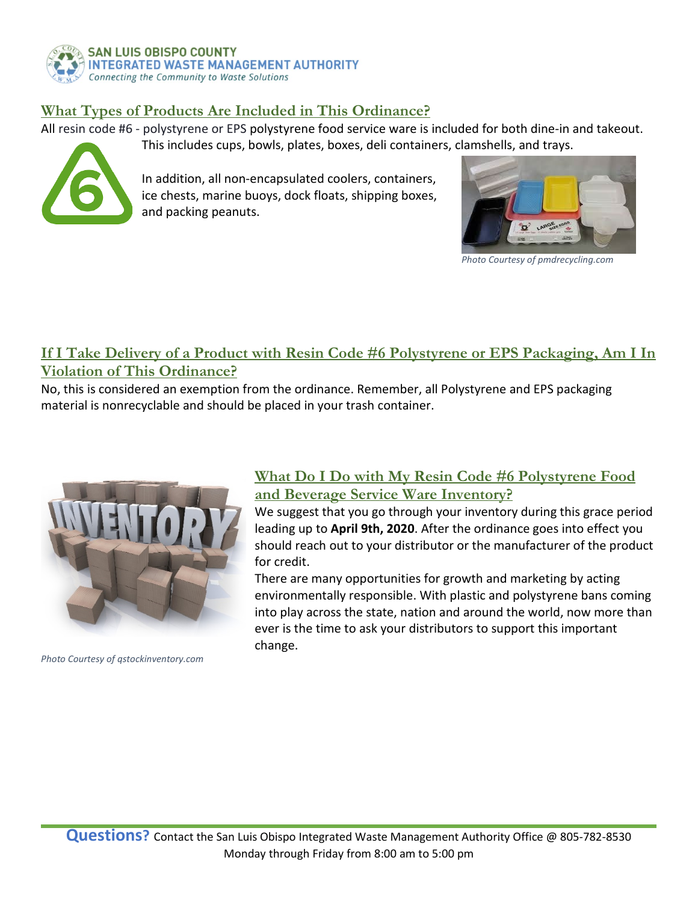

#### **What Types of Products Are Included in This Ordinance?**

All resin code #6 - polystyrene or EPS polystyrene food service ware is included for both dine-in and takeout.

This includes cups, bowls, plates, boxes, deli containers, clamshells, and trays.



In addition, all non-encapsulated coolers, containers, ice chests, marine buoys, dock floats, shipping boxes, and packing peanuts.



*Photo Courtesy of pmdrecycling.com*

## **If I Take Delivery of a Product with Resin Code #6 Polystyrene or EPS Packaging, Am I In Violation of This Ordinance?**

No, this is considered an exemption from the ordinance. Remember, all Polystyrene and EPS packaging material is nonrecyclable and should be placed in your trash container.



*Photo Courtesy of qstockinventory.com*

#### **What Do I Do with My Resin Code #6 Polystyrene Food and Beverage Service Ware Inventory?**

We suggest that you go through your inventory during this grace period leading up to **April 9th, 2020**. After the ordinance goes into effect you should reach out to your distributor or the manufacturer of the product for credit.

There are many opportunities for growth and marketing by acting environmentally responsible. With plastic and polystyrene bans coming into play across the state, nation and around the world, now more than ever is the time to ask your distributors to support this important change.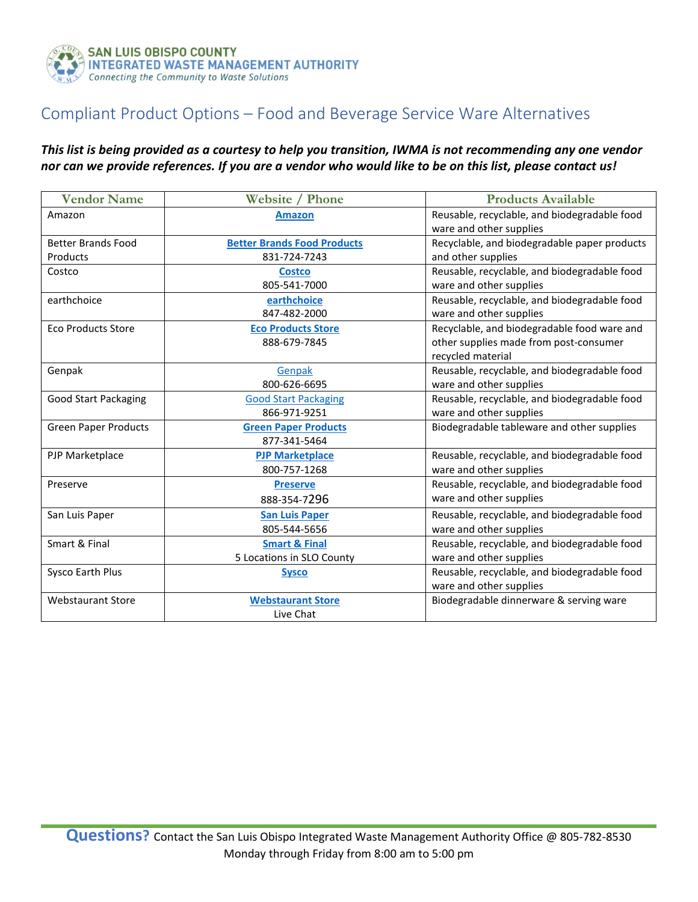

## Compliant Product Options – Food and Beverage Service Ware Alternatives

#### *This list is being provided as a courtesy to help you transition, IWMA is not recommending any one vendor nor can we provide references. If you are a vendor who would like to be on this list, please contact us!*

| <b>Vendor Name</b>          | <b>Website / Phone</b>             | <b>Products Available</b>                    |
|-----------------------------|------------------------------------|----------------------------------------------|
| Amazon                      | <b>Amazon</b>                      | Reusable, recyclable, and biodegradable food |
|                             |                                    | ware and other supplies                      |
| <b>Better Brands Food</b>   | <b>Better Brands Food Products</b> | Recyclable, and biodegradable paper products |
| Products                    | 831-724-7243                       | and other supplies                           |
| Costco                      | <b>Costco</b>                      | Reusable, recyclable, and biodegradable food |
|                             | 805-541-7000                       | ware and other supplies                      |
| earthchoice                 | earthchoice                        | Reusable, recyclable, and biodegradable food |
|                             | 847-482-2000                       | ware and other supplies                      |
| <b>Eco Products Store</b>   | <b>Eco Products Store</b>          | Recyclable, and biodegradable food ware and  |
|                             | 888-679-7845                       | other supplies made from post-consumer       |
|                             |                                    | recycled material                            |
| Genpak                      | Genpak                             | Reusable, recyclable, and biodegradable food |
|                             | 800-626-6695                       | ware and other supplies                      |
| <b>Good Start Packaging</b> | <b>Good Start Packaging</b>        | Reusable, recyclable, and biodegradable food |
|                             | 866-971-9251                       | ware and other supplies                      |
| <b>Green Paper Products</b> | <b>Green Paper Products</b>        | Biodegradable tableware and other supplies   |
|                             | 877-341-5464                       |                                              |
| PJP Marketplace             | <b>PJP Marketplace</b>             | Reusable, recyclable, and biodegradable food |
|                             | 800-757-1268                       | ware and other supplies                      |
| Preserve                    | <b>Preserve</b>                    | Reusable, recyclable, and biodegradable food |
|                             | 888-354-7296                       | ware and other supplies                      |
| San Luis Paper              | <b>San Luis Paper</b>              | Reusable, recyclable, and biodegradable food |
|                             | 805-544-5656                       | ware and other supplies                      |
| Smart & Final               | <b>Smart &amp; Final</b>           | Reusable, recyclable, and biodegradable food |
|                             | 5 Locations in SLO County          | ware and other supplies                      |
| Sysco Earth Plus            | <b>Sysco</b>                       | Reusable, recyclable, and biodegradable food |
|                             |                                    | ware and other supplies                      |
| <b>Webstaurant Store</b>    | <b>Webstaurant Store</b>           | Biodegradable dinnerware & serving ware      |
|                             | Live Chat                          |                                              |